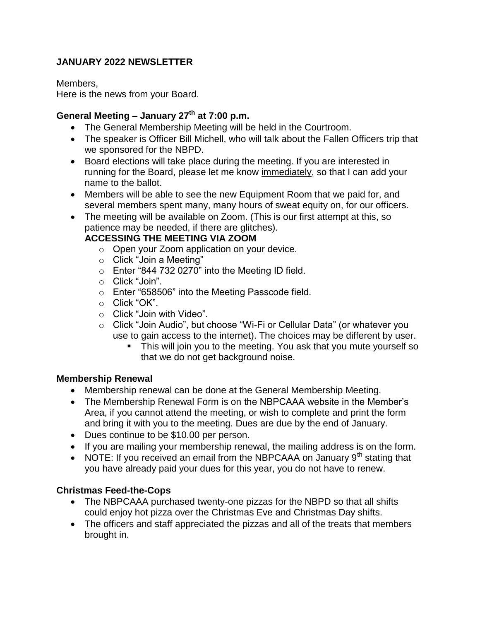# **JANUARY 2022 NEWSLETTER**

Members,

Here is the news from your Board.

# **General Meeting – January 27th at 7:00 p.m.**

- The General Membership Meeting will be held in the Courtroom.
- The speaker is Officer Bill Michell, who will talk about the Fallen Officers trip that we sponsored for the NBPD.
- Board elections will take place during the meeting. If you are interested in running for the Board, please let me know immediately, so that I can add your name to the ballot.
- Members will be able to see the new Equipment Room that we paid for, and several members spent many, many hours of sweat equity on, for our officers.
- The meeting will be available on Zoom. (This is our first attempt at this, so patience may be needed, if there are glitches).

# **ACCESSING THE MEETING VIA ZOOM**

- o Open your Zoom application on your device.
- o Click "Join a Meeting"
- o Enter "844 732 0270" into the Meeting ID field.
- o Click "Join".
- o Enter "658506" into the Meeting Passcode field.
- o Click "OK".
- o Click "Join with Video".
- o Click "Join Audio", but choose "Wi-Fi or Cellular Data" (or whatever you use to gain access to the internet). The choices may be different by user.
	- This will join you to the meeting. You ask that you mute yourself so that we do not get background noise.

## **Membership Renewal**

- Membership renewal can be done at the General Membership Meeting.
- The Membership Renewal Form is on the NBPCAAA website in the Member's Area, if you cannot attend the meeting, or wish to complete and print the form and bring it with you to the meeting. Dues are due by the end of January.
- Dues continue to be \$10.00 per person.
- If you are mailing your membership renewal, the mailing address is on the form.
- NOTE: If you received an email from the NBPCAAA on January  $9<sup>th</sup>$  stating that you have already paid your dues for this year, you do not have to renew.

## **Christmas Feed-the-Cops**

- The NBPCAAA purchased twenty-one pizzas for the NBPD so that all shifts could enjoy hot pizza over the Christmas Eve and Christmas Day shifts.
- The officers and staff appreciated the pizzas and all of the treats that members brought in.